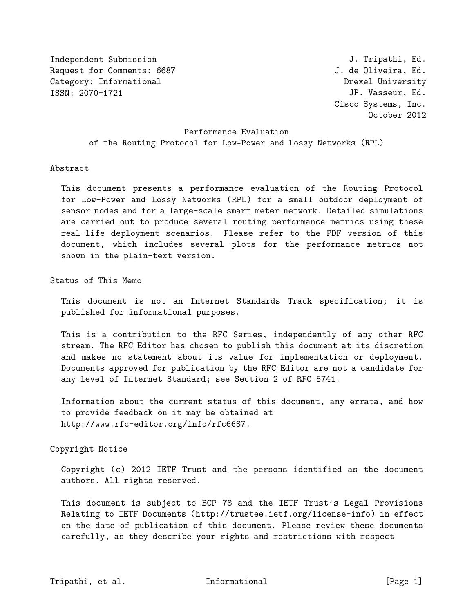Independent Submission Request for Comments: 6687 Category: Informational ISSN: 2070-1721

J. Tripathi, Ed. J. de Oliveira, Ed. Drexel University JP. Vasseur, Ed. Cisco Systems, Inc. October 2012

Performance Evaluation of the Routing Protocol for Low-Power and Lossy Networks (RPL)

#### Abstract

This document presents a performance evaluation of the Routing Protocol for Low-Power and Lossy Networks (RPL) for a small outdoor deployment of sensor nodes and for a large-scale smart meter network. Detailed simulations are carried out to produce several routing performance metrics using these real-life deployment scenarios. Please refer to the PDF version of this document, which includes several plots for the performance metrics not shown in the plain-text version.

Status of This Memo

This document is not an Internet Standards Track specification; it is published for informational purposes.

This is a contribution to the RFC Series, independently of any other RFC stream. The RFC Editor has chosen to publish this document at its discretion and makes no statement about its value for implementation or deployment. Documents approved for publication by the RFC Editor are not a candidate for any level of Internet Standard; see Section 2 of RFC 5741.

Information about the current status of this document, any errata, and how to provide feedback on it may be obtained at http://www.rfc-editor.org/info/rfc6687.

### Copyright Notice

Copyright (c) 2012 IETF Trust and the persons identified as the document authors. All rights reserved.

This document is subject to BCP 78 and the IETF Trust's Legal Provisions Relating to IETF Documents (http://trustee.ietf.org/license-info) in effect on the date of publication of this document. Please review these documents carefully, as they describe your rights and restrictions with respect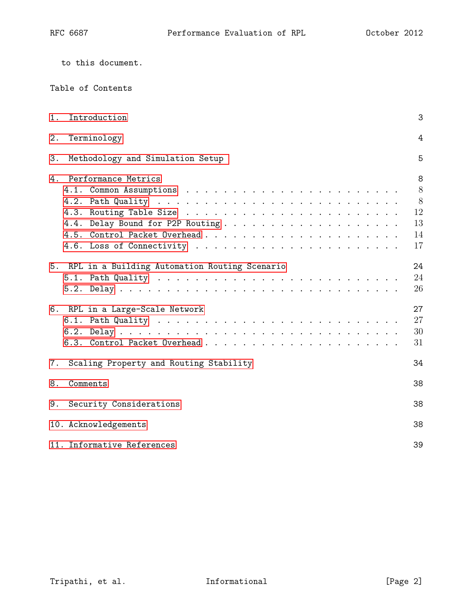|  |  | to this document. |
|--|--|-------------------|
|--|--|-------------------|

| 1. | Introduction                                     | 3                                   |
|----|--------------------------------------------------|-------------------------------------|
| 2. | Terminology                                      | $\overline{4}$                      |
| 3. | Methodology and Simulation Setup                 | 5                                   |
|    | 4. Performance Metrics                           | 8<br>8<br>8<br>12<br>13<br>14<br>17 |
|    | 5. RPL in a Building Automation Routing Scenario | 24<br>24<br>26                      |
|    | 6. RPL in a Large-Scale Network                  | 27<br>27<br>30<br>31                |
|    | 7. Scaling Property and Routing Stability        | 34                                  |
| 8. | Comments                                         | 38                                  |
| 9. | Security Considerations                          | 38                                  |
|    | 10. Acknowledgements                             | 38                                  |
|    | 11. Informative References                       | 39                                  |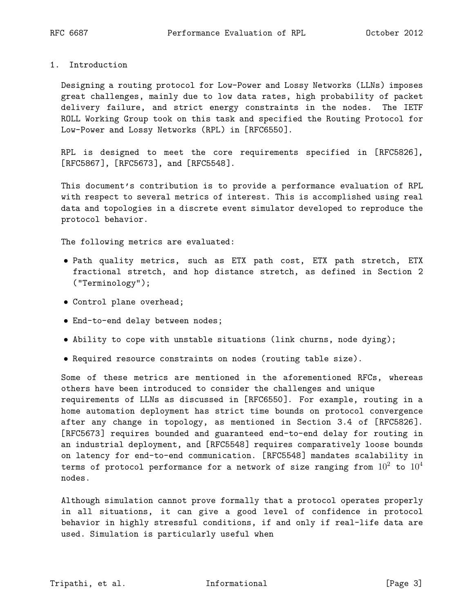<span id="page-2-0"></span>1. Introduction

Designing a routing protocol for Low-Power and Lossy Networks (LLNs) imposes great challenges, mainly due to low data rates, high probability of packet delivery failure, and strict energy constraints in the nodes. The IETF ROLL Working Group took on this task and specified the Routing Protocol for Low-Power and Lossy Networks (RPL) in [RFC6550].

RPL is designed to meet the core requirements specified in [RFC5826], [RFC5867], [RFC5673], and [RFC5548].

This document's contribution is to provide a performance evaluation of RPL with respect to several metrics of interest. This is accomplished using real data and topologies in a discrete event simulator developed to reproduce the protocol behavior.

The following metrics are evaluated:

- Path quality metrics, such as ETX path cost, ETX path stretch, ETX fractional stretch, and hop distance stretch, as defined in Section 2 ("Terminology");
- Control plane overhead;
- End-to-end delay between nodes;
- Ability to cope with unstable situations (link churns, node dying);
- Required resource constraints on nodes (routing table size).

Some of these metrics are mentioned in the aforementioned RFCs, whereas others have been introduced to consider the challenges and unique requirements of LLNs as discussed in [RFC6550]. For example, routing in a home automation deployment has strict time bounds on protocol convergence after any change in topology, as mentioned in Section 3.4 of [RFC5826]. [RFC5673] requires bounded and guaranteed end-to-end delay for routing in an industrial deployment, and [RFC5548] requires comparatively loose bounds on latency for end-to-end communication. [RFC5548] mandates scalability in terms of protocol performance for a network of size ranging from  $10^2$  to  $10^4$ nodes.

Although simulation cannot prove formally that a protocol operates properly in all situations, it can give a good level of confidence in protocol behavior in highly stressful conditions, if and only if real-life data are used. Simulation is particularly useful when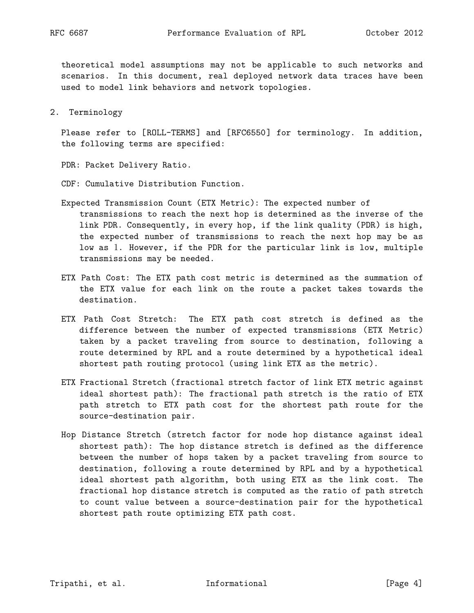theoretical model assumptions may not be applicable to such networks and scenarios. In this document, real deployed network data traces have been used to model link behaviors and network topologies.

<span id="page-3-0"></span>2. Terminology

Please refer to [ROLL-TERMS] and [RFC6550] for terminology. In addition, the following terms are specified:

- PDR: Packet Delivery Ratio.
- CDF: Cumulative Distribution Function.
- Expected Transmission Count (ETX Metric): The expected number of transmissions to reach the next hop is determined as the inverse of the link PDR. Consequently, in every hop, if the link quality (PDR) is high, the expected number of transmissions to reach the next hop may be as low as 1. However, if the PDR for the particular link is low, multiple transmissions may be needed.
- ETX Path Cost: The ETX path cost metric is determined as the summation of the ETX value for each link on the route a packet takes towards the destination.
- ETX Path Cost Stretch: The ETX path cost stretch is defined as the difference between the number of expected transmissions (ETX Metric) taken by a packet traveling from source to destination, following a route determined by RPL and a route determined by a hypothetical ideal shortest path routing protocol (using link ETX as the metric).
- ETX Fractional Stretch (fractional stretch factor of link ETX metric against ideal shortest path): The fractional path stretch is the ratio of ETX path stretch to ETX path cost for the shortest path route for the source-destination pair.
- <span id="page-3-1"></span>Hop Distance Stretch (stretch factor for node hop distance against ideal shortest path): The hop distance stretch is defined as the difference between the number of hops taken by a packet traveling from source to destination, following a route determined by RPL and by a hypothetical ideal shortest path algorithm, both using ETX as the link cost. The fractional hop distance stretch is computed as the ratio of path stretch to count value between a source-destination pair for the hypothetical shortest path route optimizing ETX path cost.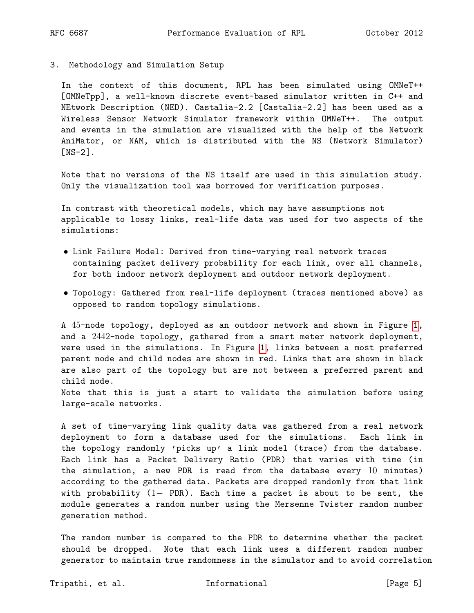3. Methodology and Simulation Setup

In the context of this document, RPL has been simulated using OMNeT++ [OMNeTpp], a well-known discrete event-based simulator written in C++ and NEtwork Description (NED). Castalia-2.2 [Castalia-2.2] has been used as a Wireless Sensor Network Simulator framework within OMNeT++. The output and events in the simulation are visualized with the help of the Network AniMator, or NAM, which is distributed with the NS (Network Simulator) [NS-2].

Note that no versions of the NS itself are used in this simulation study. Only the visualization tool was borrowed for verification purposes.

In contrast with theoretical models, which may have assumptions not applicable to lossy links, real-life data was used for two aspects of the simulations:

- Link Failure Model: Derived from time-varying real network traces containing packet delivery probability for each link, over all channels, for both indoor network deployment and outdoor network deployment.
- Topology: Gathered from real-life deployment (traces mentioned above) as opposed to random topology simulations.

A 45-node topology, deployed as an outdoor network and shown in Figure [1,](#page-5-0) and a 2442-node topology, gathered from a smart meter network deployment, were used in the simulations. In Figure [1,](#page-5-0) links between a most preferred parent node and child nodes are shown in red. Links that are shown in black are also part of the topology but are not between a preferred parent and child node.

Note that this is just a start to validate the simulation before using large-scale networks.

A set of time-varying link quality data was gathered from a real network deployment to form a database used for the simulations. Each link in the topology randomly 'picks up' a link model (trace) from the database. Each link has a Packet Delivery Ratio (PDR) that varies with time (in the simulation, a new PDR is read from the database every 10 minutes) according to the gathered data. Packets are dropped randomly from that link with probability (1− PDR). Each time a packet is about to be sent, the module generates a random number using the Mersenne Twister random number generation method.

The random number is compared to the PDR to determine whether the packet should be dropped. Note that each link uses a different random number generator to maintain true randomness in the simulator and to avoid correlation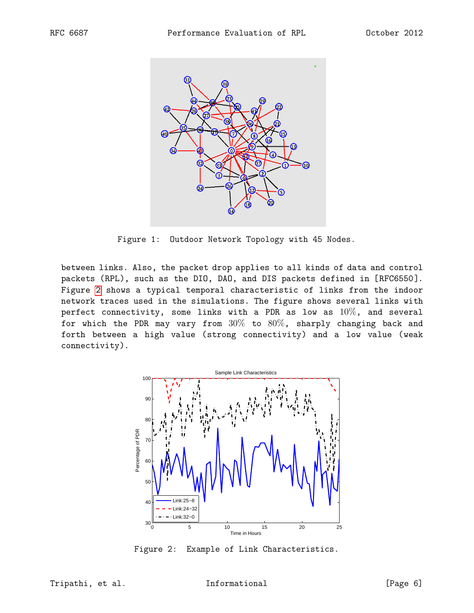<span id="page-5-0"></span>

Figure 1: Outdoor Network Topology with 45 Nodes.

between links. Also, the packet drop applies to all kinds of data and control packets (RPL), such as the DIO, DAO, and DIS packets defined in [RFC6550]. Figure [2](#page-5-1) shows a typical temporal characteristic of links from the indoor network traces used in the simulations. The figure shows several links with perfect connectivity, some links with a PDR as low as  $10\%$ , and several for which the PDR may vary from  $30\%$  to  $80\%$ , sharply changing back and forth between a high value (strong connectivity) and a low value (weak connectivity).

<span id="page-5-1"></span>

Figure 2: Example of Link Characteristics.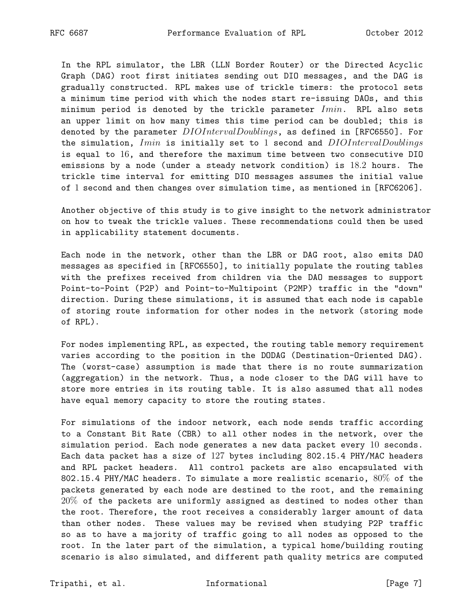In the RPL simulator, the LBR (LLN Border Router) or the Directed Acyclic Graph (DAG) root first initiates sending out DIO messages, and the DAG is gradually constructed. RPL makes use of trickle timers: the protocol sets a minimum time period with which the nodes start re-issuing DAOs, and this minimum period is denoted by the trickle parameter  $Imin$ . RPL also sets an upper limit on how many times this time period can be doubled; this is denoted by the parameter  $DIOInterval Doublings$ , as defined in [RFC6550]. For the simulation,  $Imin$  is initially set to 1 second and  $DIOIntervalDoublings$ is equal to 16, and therefore the maximum time between two consecutive DIO emissions by a node (under a steady network condition) is 18.2 hours. The trickle time interval for emitting DIO messages assumes the initial value of 1 second and then changes over simulation time, as mentioned in [RFC6206].

Another objective of this study is to give insight to the network administrator on how to tweak the trickle values. These recommendations could then be used in applicability statement documents.

Each node in the network, other than the LBR or DAG root, also emits DAO messages as specified in [RFC6550], to initially populate the routing tables with the prefixes received from children via the DAO messages to support Point-to-Point (P2P) and Point-to-Multipoint (P2MP) traffic in the "down" direction. During these simulations, it is assumed that each node is capable of storing route information for other nodes in the network (storing mode of RPL).

For nodes implementing RPL, as expected, the routing table memory requirement varies according to the position in the DODAG (Destination-Oriented DAG). The (worst-case) assumption is made that there is no route summarization (aggregation) in the network. Thus, a node closer to the DAG will have to store more entries in its routing table. It is also assumed that all nodes have equal memory capacity to store the routing states.

For simulations of the indoor network, each node sends traffic according to a Constant Bit Rate (CBR) to all other nodes in the network, over the simulation period. Each node generates a new data packet every 10 seconds. Each data packet has a size of 127 bytes including 802.15.4 PHY/MAC headers and RPL packet headers. All control packets are also encapsulated with 802.15.4 PHY/MAC headers. To simulate a more realistic scenario, 80% of the packets generated by each node are destined to the root, and the remaining 20% of the packets are uniformly assigned as destined to nodes other than the root. Therefore, the root receives a considerably larger amount of data than other nodes. These values may be revised when studying P2P traffic so as to have a majority of traffic going to all nodes as opposed to the root. In the later part of the simulation, a typical home/building routing scenario is also simulated, and different path quality metrics are computed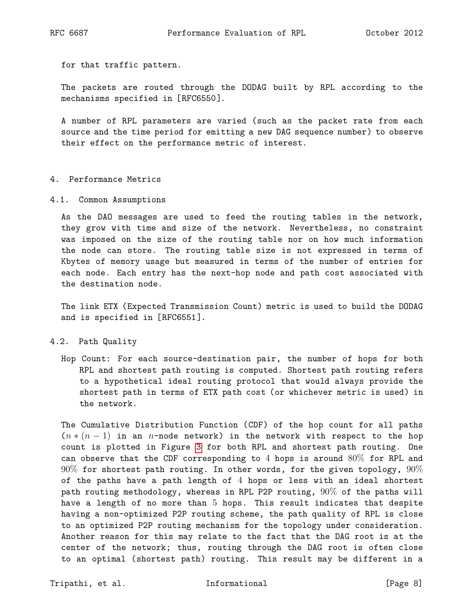for that traffic pattern.

The packets are routed through the DODAG built by RPL according to the mechanisms specified in [RFC6550].

A number of RPL parameters are varied (such as the packet rate from each source and the time period for emitting a new DAG sequence number) to observe their effect on the performance metric of interest.

#### <span id="page-7-0"></span>4. Performance Metrics

<span id="page-7-1"></span>4.1. Common Assumptions

As the DAO messages are used to feed the routing tables in the network, they grow with time and size of the network. Nevertheless, no constraint was imposed on the size of the routing table nor on how much information the node can store. The routing table size is not expressed in terms of Kbytes of memory usage but measured in terms of the number of entries for each node. Each entry has the next-hop node and path cost associated with the destination node.

The link ETX (Expected Transmission Count) metric is used to build the DODAG and is specified in [RFC6551].

### <span id="page-7-2"></span>4.2. Path Quality

Hop Count: For each source-destination pair, the number of hops for both RPL and shortest path routing is computed. Shortest path routing refers to a hypothetical ideal routing protocol that would always provide the shortest path in terms of ETX path cost (or whichever metric is used) in the network.

The Cumulative Distribution Function (CDF) of the hop count for all paths  $(n*(n-1))$  in an n-node network) in the network with respect to the hop count is plotted in Figure [3](#page-8-0) for both RPL and shortest path routing. One can observe that the CDF corresponding to  $4$  hops is around  $80\%$  for RPL and  $90\%$  for shortest path routing. In other words, for the given topology,  $90\%$ of the paths have a path length of 4 hops or less with an ideal shortest path routing methodology, whereas in RPL P2P routing, 90% of the paths will have a length of no more than 5 hops. This result indicates that despite having a non-optimized P2P routing scheme, the path quality of RPL is close to an optimized P2P routing mechanism for the topology under consideration. Another reason for this may relate to the fact that the DAG root is at the center of the network; thus, routing through the DAG root is often close to an optimal (shortest path) routing. This result may be different in a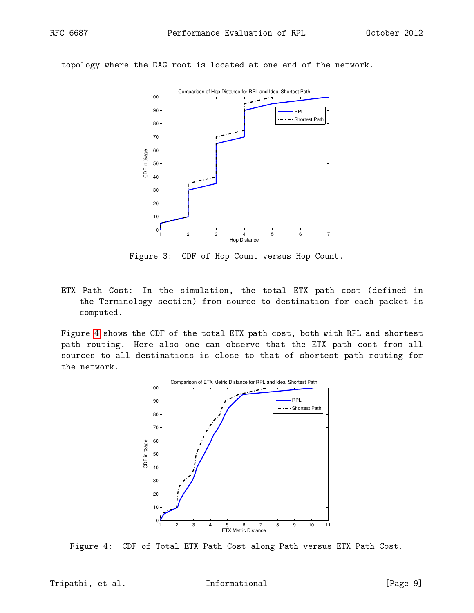<span id="page-8-0"></span>topology where the DAG root is located at one end of the network.



Figure 3: CDF of Hop Count versus Hop Count.

ETX Path Cost: In the simulation, the total ETX path cost (defined in the Terminology section) from source to destination for each packet is computed.

<span id="page-8-1"></span>Figure [4](#page-8-1) shows the CDF of the total ETX path cost, both with RPL and shortest path routing. Here also one can observe that the ETX path cost from all sources to all destinations is close to that of shortest path routing for the network.



Figure 4: CDF of Total ETX Path Cost along Path versus ETX Path Cost.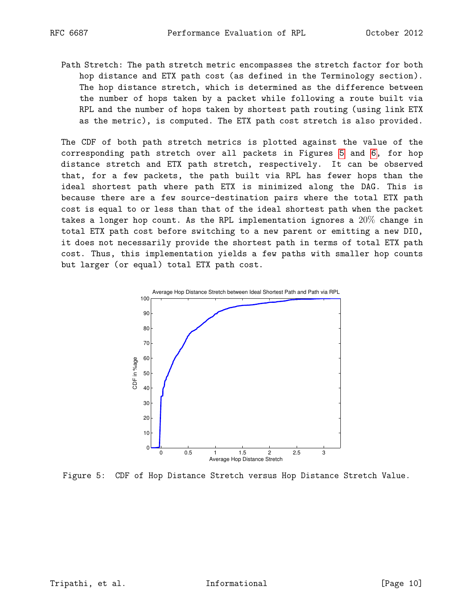Path Stretch: The path stretch metric encompasses the stretch factor for both hop distance and ETX path cost (as defined in the Terminology section). The hop distance stretch, which is determined as the difference between the number of hops taken by a packet while following a route built via RPL and the number of hops taken by shortest path routing (using link ETX as the metric), is computed. The ETX path cost stretch is also provided.

The CDF of both path stretch metrics is plotted against the value of the corresponding path stretch over all packets in Figures [5](#page-9-0) and [6,](#page-10-0) for hop distance stretch and ETX path stretch, respectively. It can be observed that, for a few packets, the path built via RPL has fewer hops than the ideal shortest path where path ETX is minimized along the DAG. This is because there are a few source-destination pairs where the total ETX path cost is equal to or less than that of the ideal shortest path when the packet takes a longer hop count. As the RPL implementation ignores a  $20\%$  change in total ETX path cost before switching to a new parent or emitting a new DIO, it does not necessarily provide the shortest path in terms of total ETX path cost. Thus, this implementation yields a few paths with smaller hop counts but larger (or equal) total ETX path cost.

<span id="page-9-0"></span>

Figure 5: CDF of Hop Distance Stretch versus Hop Distance Stretch Value.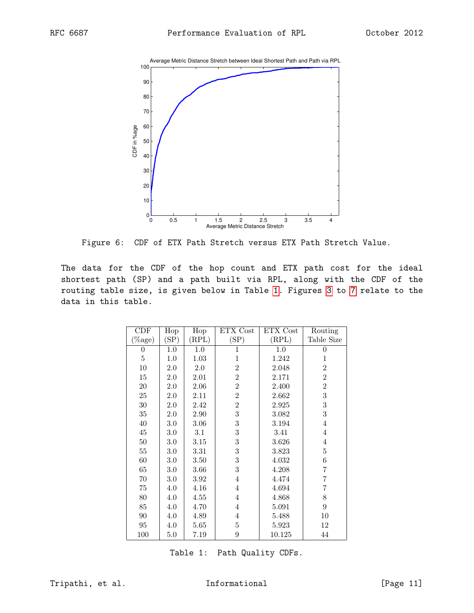<span id="page-10-0"></span>

Figure 6: CDF of ETX Path Stretch versus ETX Path Stretch Value.

<span id="page-10-1"></span>The data for the CDF of the hop count and ETX path cost for the ideal shortest path (SP) and a path built via RPL, along with the CDF of the routing table size, is given below in Table [1.](#page-10-1) Figures [3](#page-8-0) to [7](#page-11-2) relate to the data in this table.

| CDF            | Hop  | Hop     | ETX Cost       | ETX Cost | Routing          |
|----------------|------|---------|----------------|----------|------------------|
| $(\%$ age)     | (SP) | (RPL)   | (SP)           | (RPL)    | Table Size       |
| $\overline{0}$ | 1.0  | 1.0     | 1              | 1.0      | $\theta$         |
| $\bf 5$        | 1.0  | 1.03    | 1              | 1.242    | 1                |
| 10             | 2.0  | 2.0     | $\overline{2}$ | 2.048    | $\overline{2}$   |
| 15             | 2.0  | 2.01    | $\overline{2}$ | 2.171    | $\overline{2}$   |
| 20             | 2.0  | 2.06    | $\overline{2}$ | 2.400    | $\overline{2}$   |
| 25             | 2.0  | 2.11    | $\overline{2}$ | 2.662    | 3                |
| $30\,$         | 2.0  | 2.42    | $\overline{2}$ | 2.925    | 3                |
| 35             | 2.0  | 2.90    | $\sqrt{3}$     | 3.082    | $\sqrt{3}$       |
| 40             | 3.0  | 3.06    | $\overline{3}$ | 3.194    | 4                |
| $45\,$         | 3.0  | $3.1\,$ | $\overline{3}$ | 3.41     | 4                |
| $50\,$         | 3.0  | 3.15    | $\,3$          | 3.626    | 4                |
| $55\,$         | 3.0  | 3.31    | $\,3$          | 3.823    | 5                |
| 60             | 3.0  | 3.50    | $\overline{3}$ | 4.032    | 6                |
| 65             | 3.0  | 3.66    | 3              | 4.208    | 7                |
| 70             | 3.0  | 3.92    | $\overline{4}$ | 4.474    | 7                |
| $75\,$         | 4.0  | 4.16    | $\overline{4}$ | 4.694    | 7                |
| 80             | 4.0  | 4.55    | $\overline{4}$ | 4.868    | 8                |
| 85             | 4.0  | 4.70    | $\overline{4}$ | 5.091    | $\boldsymbol{9}$ |
| 90             | 4.0  | 4.89    | $\overline{4}$ | 5.488    | 10               |
| 95             | 4.0  | 5.65    | 5              | 5.923    | 12               |
| 100            | 5.0  | 7.19    | 9              | 10.125   | 44               |

Table 1: Path Quality CDFs.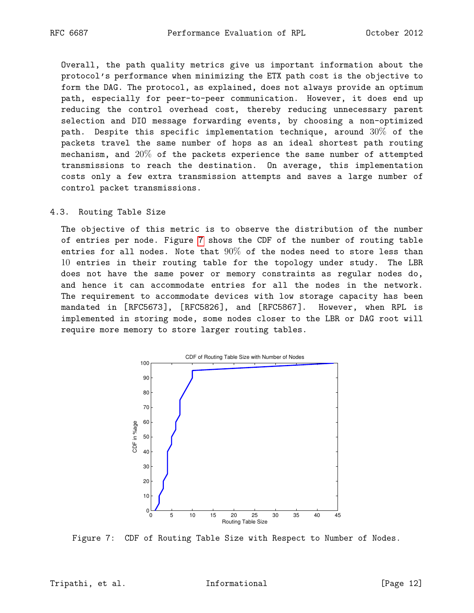Overall, the path quality metrics give us important information about the protocol's performance when minimizing the ETX path cost is the objective to form the DAG. The protocol, as explained, does not always provide an optimum path, especially for peer-to-peer communication. However, it does end up reducing the control overhead cost, thereby reducing unnecessary parent selection and DIO message forwarding events, by choosing a non-optimized path. Despite this specific implementation technique, around  $30\%$  of the packets travel the same number of hops as an ideal shortest path routing mechanism, and 20% of the packets experience the same number of attempted transmissions to reach the destination. On average, this implementation costs only a few extra transmission attempts and saves a large number of control packet transmissions.

<span id="page-11-0"></span>4.3. Routing Table Size

The objective of this metric is to observe the distribution of the number of entries per node. Figure [7](#page-11-2) shows the CDF of the number of routing table entries for all nodes. Note that  $90\%$  of the nodes need to store less than 10 entries in their routing table for the topology under study. The LBR does not have the same power or memory constraints as regular nodes do, and hence it can accommodate entries for all the nodes in the network. The requirement to accommodate devices with low storage capacity has been mandated in [RFC5673], [RFC5826], and [RFC5867]. However, when RPL is implemented in storing mode, some nodes closer to the LBR or DAG root will require more memory to store larger routing tables.

<span id="page-11-2"></span>

<span id="page-11-1"></span>Figure 7: CDF of Routing Table Size with Respect to Number of Nodes.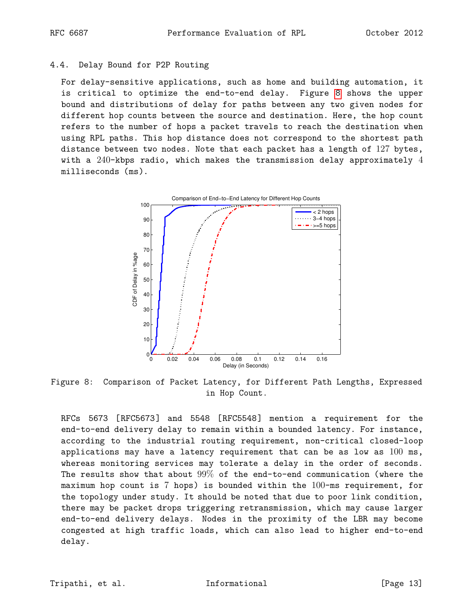## 4.4. Delay Bound for P2P Routing

For delay-sensitive applications, such as home and building automation, it is critical to optimize the end-to-end delay. Figure [8](#page-12-1) shows the upper bound and distributions of delay for paths between any two given nodes for different hop counts between the source and destination. Here, the hop count refers to the number of hops a packet travels to reach the destination when using RPL paths. This hop distance does not correspond to the shortest path distance between two nodes. Note that each packet has a length of 127 bytes, with a 240-kbps radio, which makes the transmission delay approximately 4 milliseconds (ms).

<span id="page-12-1"></span>

Figure 8: Comparison of Packet Latency, for Different Path Lengths, Expressed in Hop Count.

<span id="page-12-0"></span>RFCs 5673 [RFC5673] and 5548 [RFC5548] mention a requirement for the end-to-end delivery delay to remain within a bounded latency. For instance, according to the industrial routing requirement, non-critical closed-loop applications may have a latency requirement that can be as low as 100 ms, whereas monitoring services may tolerate a delay in the order of seconds. The results show that about 99% of the end-to-end communication (where the maximum hop count is  $7$  hops) is bounded within the  $100$ -ms requirement, for the topology under study. It should be noted that due to poor link condition, there may be packet drops triggering retransmission, which may cause larger end-to-end delivery delays. Nodes in the proximity of the LBR may become congested at high traffic loads, which can also lead to higher end-to-end delay.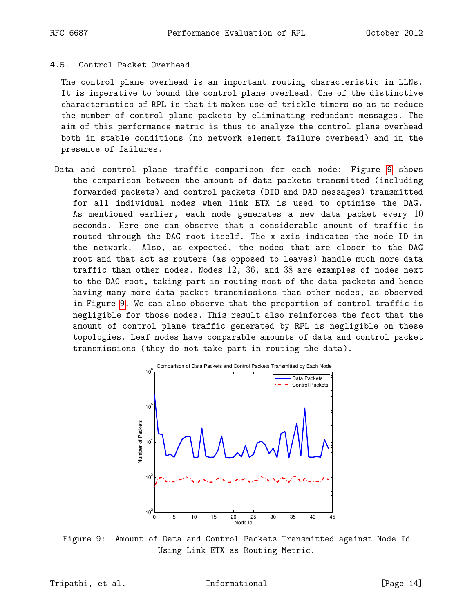## 4.5. Control Packet Overhead

The control plane overhead is an important routing characteristic in LLNs. It is imperative to bound the control plane overhead. One of the distinctive characteristics of RPL is that it makes use of trickle timers so as to reduce the number of control plane packets by eliminating redundant messages. The aim of this performance metric is thus to analyze the control plane overhead both in stable conditions (no network element failure overhead) and in the presence of failures.

Data and control plane traffic comparison for each node: Figure [9](#page-13-0) shows the comparison between the amount of data packets transmitted (including forwarded packets) and control packets (DIO and DAO messages) transmitted for all individual nodes when link ETX is used to optimize the DAG. As mentioned earlier, each node generates a new data packet every  $10$ seconds. Here one can observe that a considerable amount of traffic is routed through the DAG root itself. The x axis indicates the node ID in the network. Also, as expected, the nodes that are closer to the DAG root and that act as routers (as opposed to leaves) handle much more data traffic than other nodes. Nodes  $12, 36$ , and  $38$  are examples of nodes next to the DAG root, taking part in routing most of the data packets and hence having many more data packet transmissions than other nodes, as observed in Figure [9.](#page-13-0) We can also observe that the proportion of control traffic is negligible for those nodes. This result also reinforces the fact that the amount of control plane traffic generated by RPL is negligible on these topologies. Leaf nodes have comparable amounts of data and control packet transmissions (they do not take part in routing the data).

<span id="page-13-0"></span>

Figure 9: Amount of Data and Control Packets Transmitted against Node Id Using Link ETX as Routing Metric.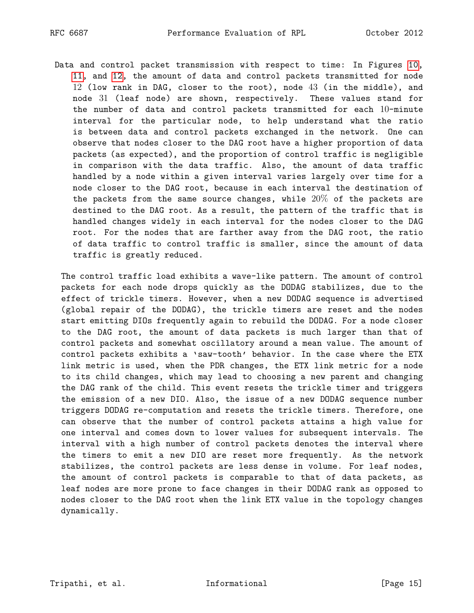Data and control packet transmission with respect to time: In Figures [10,](#page-15-0) [11,](#page-15-1) and [12,](#page-16-1) the amount of data and control packets transmitted for node 12 (low rank in DAG, closer to the root), node 43 (in the middle), and node 31 (leaf node) are shown, respectively. These values stand for the number of data and control packets transmitted for each 10-minute interval for the particular node, to help understand what the ratio is between data and control packets exchanged in the network. One can observe that nodes closer to the DAG root have a higher proportion of data packets (as expected), and the proportion of control traffic is negligible in comparison with the data traffic. Also, the amount of data traffic handled by a node within a given interval varies largely over time for a node closer to the DAG root, because in each interval the destination of the packets from the same source changes, while  $20\%$  of the packets are destined to the DAG root. As a result, the pattern of the traffic that is handled changes widely in each interval for the nodes closer to the DAG root. For the nodes that are farther away from the DAG root, the ratio of data traffic to control traffic is smaller, since the amount of data traffic is greatly reduced.

The control traffic load exhibits a wave-like pattern. The amount of control packets for each node drops quickly as the DODAG stabilizes, due to the effect of trickle timers. However, when a new DODAG sequence is advertised (global repair of the DODAG), the trickle timers are reset and the nodes start emitting DIOs frequently again to rebuild the DODAG. For a node closer to the DAG root, the amount of data packets is much larger than that of control packets and somewhat oscillatory around a mean value. The amount of control packets exhibits a 'saw-tooth' behavior. In the case where the ETX link metric is used, when the PDR changes, the ETX link metric for a node to its child changes, which may lead to choosing a new parent and changing the DAG rank of the child. This event resets the trickle timer and triggers the emission of a new DIO. Also, the issue of a new DODAG sequence number triggers DODAG re-computation and resets the trickle timers. Therefore, one can observe that the number of control packets attains a high value for one interval and comes down to lower values for subsequent intervals. The interval with a high number of control packets denotes the interval where the timers to emit a new DIO are reset more frequently. As the network stabilizes, the control packets are less dense in volume. For leaf nodes, the amount of control packets is comparable to that of data packets, as leaf nodes are more prone to face changes in their DODAG rank as opposed to nodes closer to the DAG root when the link ETX value in the topology changes dynamically.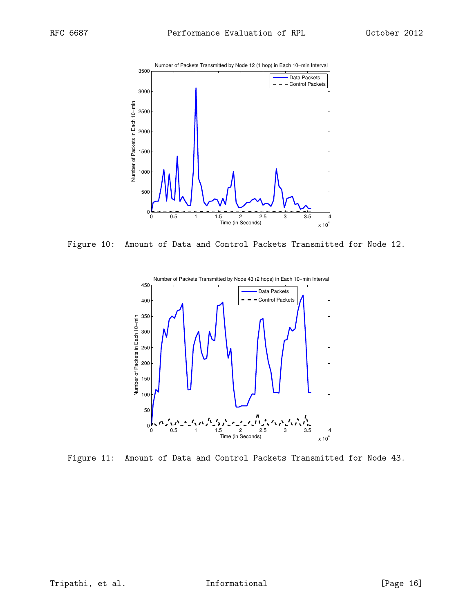<span id="page-15-0"></span>

<span id="page-15-1"></span>Figure 10: Amount of Data and Control Packets Transmitted for Node 12.



Figure 11: Amount of Data and Control Packets Transmitted for Node 43.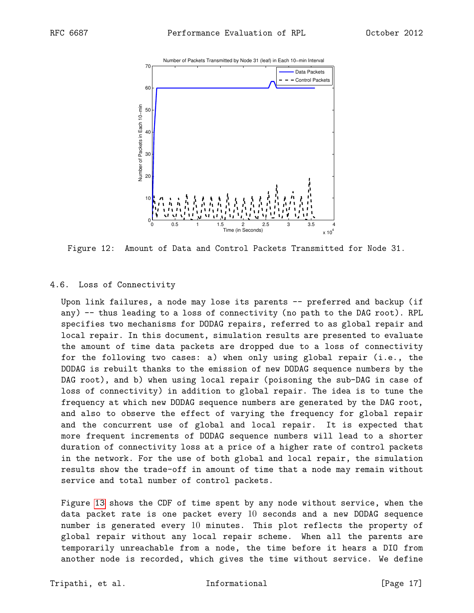<span id="page-16-1"></span>

Figure 12: Amount of Data and Control Packets Transmitted for Node 31.

### <span id="page-16-0"></span>4.6. Loss of Connectivity

Upon link failures, a node may lose its parents -- preferred and backup (if any) -- thus leading to a loss of connectivity (no path to the DAG root). RPL specifies two mechanisms for DODAG repairs, referred to as global repair and local repair. In this document, simulation results are presented to evaluate the amount of time data packets are dropped due to a loss of connectivity for the following two cases: a) when only using global repair (i.e., the DODAG is rebuilt thanks to the emission of new DODAG sequence numbers by the DAG root), and b) when using local repair (poisoning the sub-DAG in case of loss of connectivity) in addition to global repair. The idea is to tune the frequency at which new DODAG sequence numbers are generated by the DAG root, and also to observe the effect of varying the frequency for global repair and the concurrent use of global and local repair. It is expected that more frequent increments of DODAG sequence numbers will lead to a shorter duration of connectivity loss at a price of a higher rate of control packets in the network. For the use of both global and local repair, the simulation results show the trade-off in amount of time that a node may remain without service and total number of control packets.

Figure [13](#page-17-0) shows the CDF of time spent by any node without service, when the data packet rate is one packet every 10 seconds and a new DODAG sequence number is generated every 10 minutes. This plot reflects the property of global repair without any local repair scheme. When all the parents are temporarily unreachable from a node, the time before it hears a DIO from another node is recorded, which gives the time without service. We define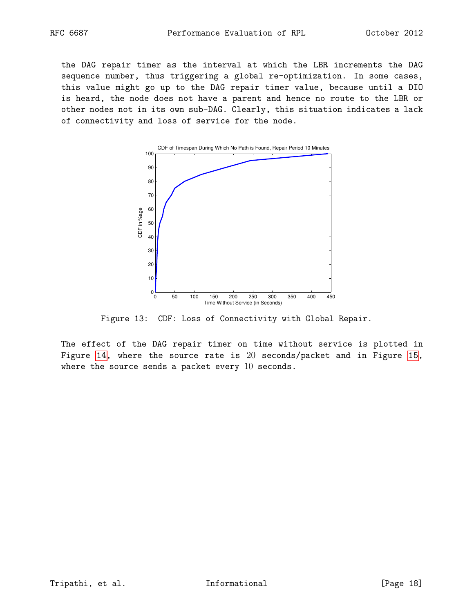the DAG repair timer as the interval at which the LBR increments the DAG sequence number, thus triggering a global re-optimization. In some cases, this value might go up to the DAG repair timer value, because until a DIO is heard, the node does not have a parent and hence no route to the LBR or other nodes not in its own sub-DAG. Clearly, this situation indicates a lack of connectivity and loss of service for the node.

<span id="page-17-0"></span>

Figure 13: CDF: Loss of Connectivity with Global Repair.

The effect of the DAG repair timer on time without service is plotted in Figure [14,](#page-18-0) where the source rate is 20 seconds/packet and in Figure [15,](#page-18-1) where the source sends a packet every  $10$  seconds.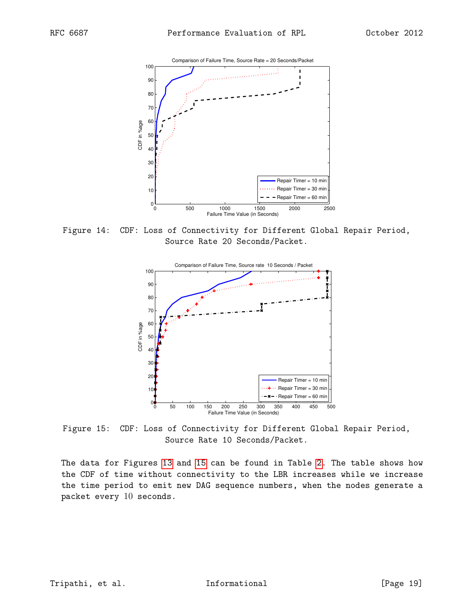<span id="page-18-0"></span>

<span id="page-18-1"></span>Figure 14: CDF: Loss of Connectivity for Different Global Repair Period, Source Rate 20 Seconds/Packet.



Figure 15: CDF: Loss of Connectivity for Different Global Repair Period, Source Rate 10 Seconds/Packet.

The data for Figures [13](#page-17-0) and [15](#page-18-1) can be found in Table [2.](#page-19-0) The table shows how the CDF of time without connectivity to the LBR increases while we increase the time period to emit new DAG sequence numbers, when the nodes generate a packet every 10 seconds.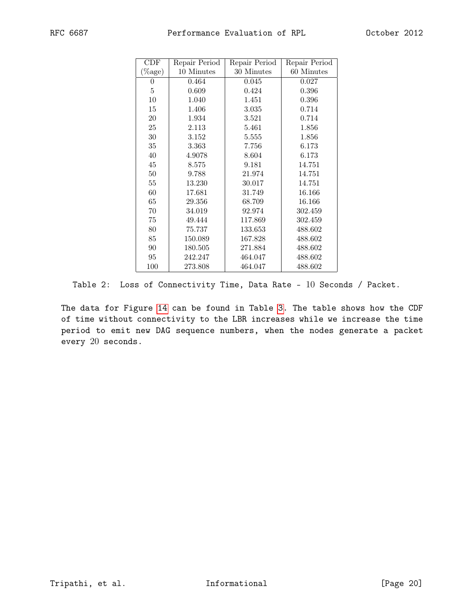<span id="page-19-0"></span>

| CDF        | Repair Period | Repair Period | Repair Period |
|------------|---------------|---------------|---------------|
| $(\%$ age) | 10 Minutes    | 30 Minutes    | 60 Minutes    |
| $\theta$   | 0.464         | 0.045         | 0.027         |
| 5          | 0.609         | 0.424         | 0.396         |
| 10         | 1.040         | 1.451         | 0.396         |
| 15         | 1.406         | 3.035         | 0.714         |
| 20         | 1.934         | 3.521         | 0.714         |
| 25         | 2.113         | 5.461         | 1.856         |
| 30         | 3.152         | 5.555         | 1.856         |
| 35         | 3.363         | 7.756         | 6.173         |
| 40         | 4.9078        | 8.604         | 6.173         |
| 45         | 8.575         | 9.181         | 14.751        |
| 50         | 9.788         | 21.974        | 14.751        |
| 55         | 13.230        | 30.017        | 14.751        |
| 60         | 17.681        | 31.749        | 16.166        |
| 65         | 29.356        | 68.709        | 16.166        |
| 70         | 34.019        | 92.974        | 302.459       |
| 75         | 49.444        | 117.869       | 302.459       |
| 80         | 75.737        | 133.653       | 488.602       |
| 85         | 150.089       | 167.828       | 488.602       |
| 90         | 180.505       | 271.884       | 488.602       |
| 95         | 242.247       | 464.047       | 488.602       |
| 100        | 273.808       | 464.047       | 488.602       |

Table 2: Loss of Connectivity Time, Data Rate - 10 Seconds / Packet.

The data for Figure [14](#page-18-0) can be found in Table [3.](#page-20-0) The table shows how the CDF of time without connectivity to the LBR increases while we increase the time period to emit new DAG sequence numbers, when the nodes generate a packet every 20 seconds.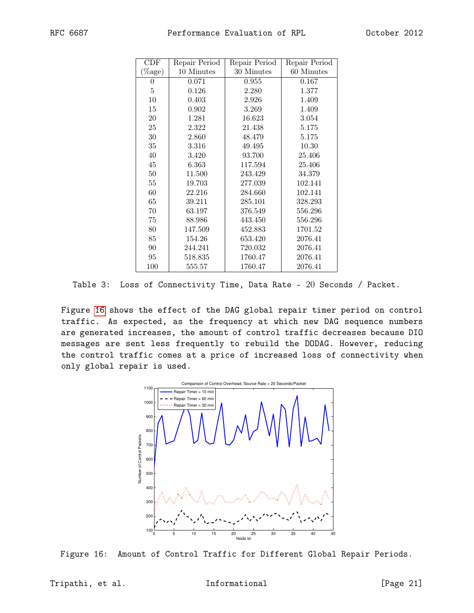<span id="page-20-0"></span>

| CDF        | Repair Period | Repair Period | Repair Period |
|------------|---------------|---------------|---------------|
| $(\%$ age) | 10 Minutes    | 30 Minutes    | 60 Minutes    |
| 0          | 0.071         | 0.955         | 0.167         |
| 5          | 0.126         | 2.280         | 1.377         |
| 10         | 0.403         | 2.926         | 1.409         |
| 15         | 0.902         | 3.269         | 1.409         |
| 20         | 1.281         | 16.623        | 3.054         |
| 25         | 2.322         | 21.438        | 5.175         |
| 30         | 2.860         | 48.479        | 5.175         |
| 35         | 3.316         | 49.495        | 10.30         |
| 40         | 3.420         | 93.700        | 25.406        |
| 45         | 6.363         | 117.594       | 25.406        |
| 50         | 11.500        | 243.429       | 34.379        |
| 55         | 19.703        | 277.039       | 102.141       |
| 60         | 22.216        | 284.660       | 102.141       |
| 65         | 39.211        | 285.101       | 328.293       |
| 70         | 63.197        | 376.549       | 556.296       |
| 75         | 88.986        | 443.450       | 556.296       |
| 80         | 147.509       | 452.883       | 1701.52       |
| 85         | 154.26        | 653.420       | 2076.41       |
| 90         | 244.241       | 720.032       | 2076.41       |
| 95         | 518.835       | 1760.47       | 2076.41       |
| 100        | 555.57        | 1760.47       | 2076.41       |

Table 3: Loss of Connectivity Time, Data Rate - 20 Seconds / Packet.

<span id="page-20-1"></span>Figure [16](#page-20-1) shows the effect of the DAG global repair timer period on control traffic. As expected, as the frequency at which new DAG sequence numbers are generated increases, the amount of control traffic decreases because DIO messages are sent less frequently to rebuild the DODAG. However, reducing the control traffic comes at a price of increased loss of connectivity when only global repair is used.



Figure 16: Amount of Control Traffic for Different Global Repair Periods.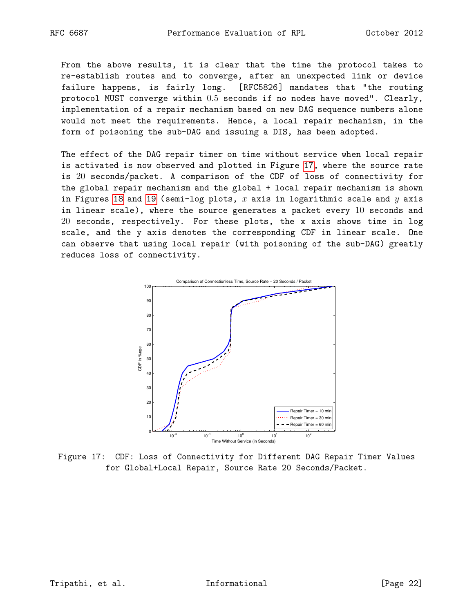From the above results, it is clear that the time the protocol takes to re-establish routes and to converge, after an unexpected link or device failure happens, is fairly long. [RFC5826] mandates that "the routing protocol MUST converge within 0.5 seconds if no nodes have moved". Clearly, implementation of a repair mechanism based on new DAG sequence numbers alone would not meet the requirements. Hence, a local repair mechanism, in the form of poisoning the sub-DAG and issuing a DIS, has been adopted.

The effect of the DAG repair timer on time without service when local repair is activated is now observed and plotted in Figure [17,](#page-21-0) where the source rate is 20 seconds/packet. A comparison of the CDF of loss of connectivity for the global repair mechanism and the global + local repair mechanism is shown in Figures [18](#page-22-0) and [19](#page-22-1) (semi-log plots,  $x$  axis in logarithmic scale and  $y$  axis in linear scale), where the source generates a packet every 10 seconds and 20 seconds, respectively. For these plots, the x axis shows time in log scale, and the y axis denotes the corresponding CDF in linear scale. One can observe that using local repair (with poisoning of the sub-DAG) greatly reduces loss of connectivity.

<span id="page-21-0"></span>

Figure 17: CDF: Loss of Connectivity for Different DAG Repair Timer Values for Global+Local Repair, Source Rate 20 Seconds/Packet.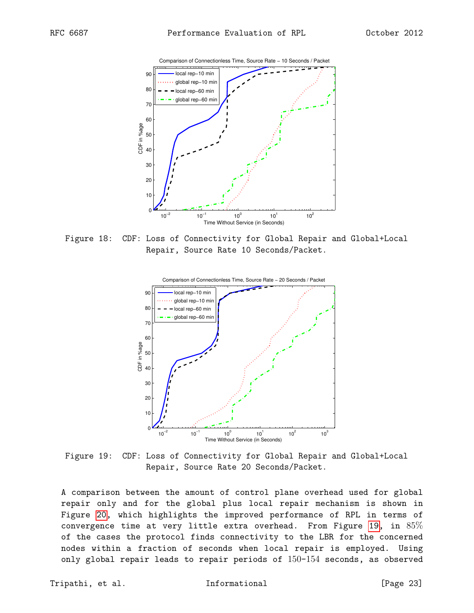<span id="page-22-0"></span>

<span id="page-22-1"></span>Figure 18: CDF: Loss of Connectivity for Global Repair and Global+Local Repair, Source Rate 10 Seconds/Packet.



Figure 19: CDF: Loss of Connectivity for Global Repair and Global+Local Repair, Source Rate 20 Seconds/Packet.

A comparison between the amount of control plane overhead used for global repair only and for the global plus local repair mechanism is shown in Figure [20,](#page-23-2) which highlights the improved performance of RPL in terms of convergence time at very little extra overhead. From Figure [19,](#page-22-1) in 85% of the cases the protocol finds connectivity to the LBR for the concerned nodes within a fraction of seconds when local repair is employed. Using only global repair leads to repair periods of 150-154 seconds, as observed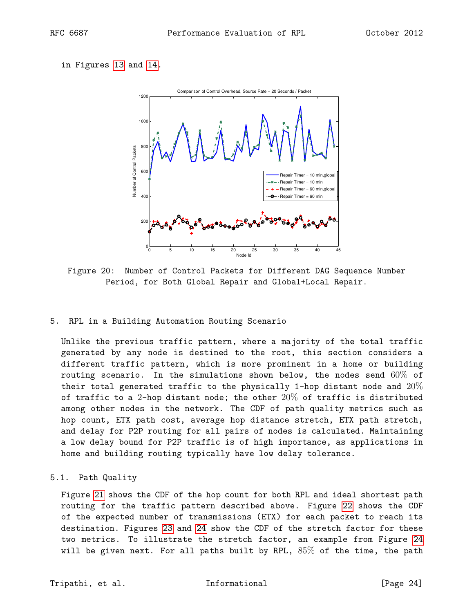### <span id="page-23-2"></span>in Figures [13](#page-17-0) and [14.](#page-18-0)



Figure 20: Number of Control Packets for Different DAG Sequence Number Period, for Both Global Repair and Global+Local Repair.

### <span id="page-23-0"></span>5. RPL in a Building Automation Routing Scenario

Unlike the previous traffic pattern, where a majority of the total traffic generated by any node is destined to the root, this section considers a different traffic pattern, which is more prominent in a home or building routing scenario. In the simulations shown below, the nodes send  $60\%$  of their total generated traffic to the physically 1-hop distant node and  $20\%$ of traffic to a 2-hop distant node; the other  $20\%$  of traffic is distributed among other nodes in the network. The CDF of path quality metrics such as hop count, ETX path cost, average hop distance stretch, ETX path stretch, and delay for P2P routing for all pairs of nodes is calculated. Maintaining a low delay bound for P2P traffic is of high importance, as applications in home and building routing typically have low delay tolerance.

## <span id="page-23-1"></span>5.1. Path Quality

Figure [21](#page-24-0) shows the CDF of the hop count for both RPL and ideal shortest path routing for the traffic pattern described above. Figure [22](#page-24-1) shows the CDF of the expected number of transmissions (ETX) for each packet to reach its destination. Figures [23](#page-25-1) and [24](#page-25-2) show the CDF of the stretch factor for these two metrics. To illustrate the stretch factor, an example from Figure [24](#page-25-2) will be given next. For all paths built by RPL, 85% of the time, the path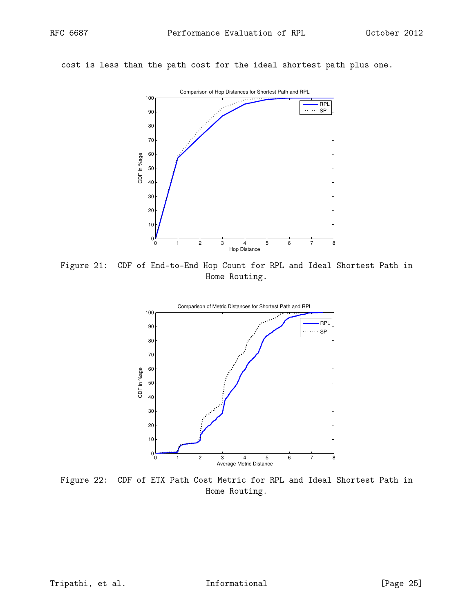<span id="page-24-0"></span>cost is less than the path cost for the ideal shortest path plus one.



<span id="page-24-1"></span>Figure 21: CDF of End-to-End Hop Count for RPL and Ideal Shortest Path in Home Routing.



Figure 22: CDF of ETX Path Cost Metric for RPL and Ideal Shortest Path in Home Routing.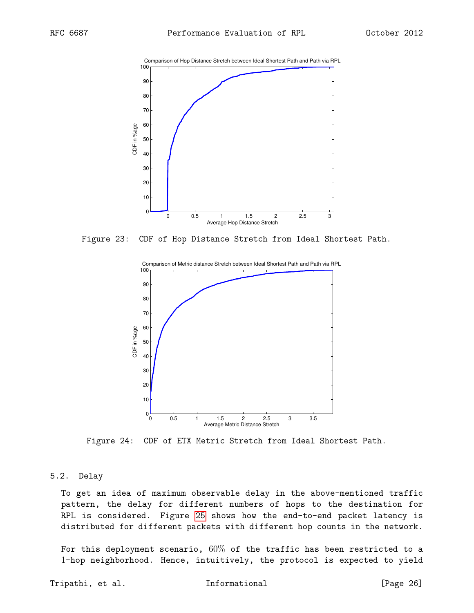<span id="page-25-1"></span>

<span id="page-25-2"></span>Figure 23: CDF of Hop Distance Stretch from Ideal Shortest Path.



Figure 24: CDF of ETX Metric Stretch from Ideal Shortest Path.

#### <span id="page-25-0"></span>5.2. Delay

To get an idea of maximum observable delay in the above-mentioned traffic pattern, the delay for different numbers of hops to the destination for RPL is considered. Figure [25](#page-26-2) shows how the end-to-end packet latency is distributed for different packets with different hop counts in the network.

For this deployment scenario,  $60\%$  of the traffic has been restricted to a -hop neighborhood. Hence, intuitively, the protocol is expected to yield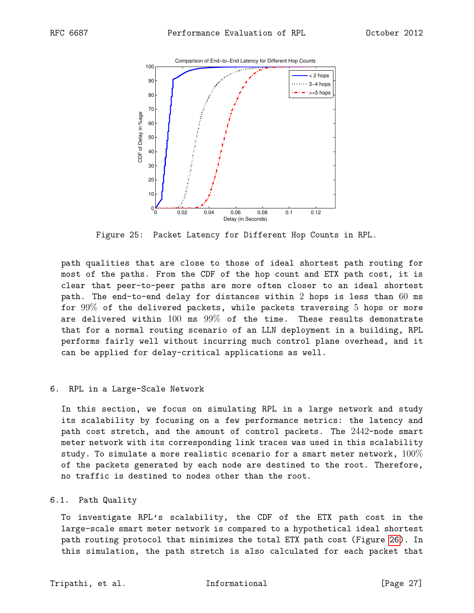<span id="page-26-2"></span>

Figure 25: Packet Latency for Different Hop Counts in RPL.

path qualities that are close to those of ideal shortest path routing for most of the paths. From the CDF of the hop count and ETX path cost, it is clear that peer-to-peer paths are more often closer to an ideal shortest path. The end-to-end delay for distances within 2 hops is less than 60 ms for 99% of the delivered packets, while packets traversing 5 hops or more are delivered within  $100$  ms  $99\%$  of the time. These results demonstrate that for a normal routing scenario of an LLN deployment in a building, RPL performs fairly well without incurring much control plane overhead, and it can be applied for delay-critical applications as well.

### <span id="page-26-0"></span>6. RPL in a Large-Scale Network

In this section, we focus on simulating RPL in a large network and study its scalability by focusing on a few performance metrics: the latency and path cost stretch, and the amount of control packets. The 2442-node smart meter network with its corresponding link traces was used in this scalability study. To simulate a more realistic scenario for a smart meter network,  $100\%$ of the packets generated by each node are destined to the root. Therefore, no traffic is destined to nodes other than the root.

### <span id="page-26-1"></span>6.1. Path Quality

To investigate RPL's scalability, the CDF of the ETX path cost in the large-scale smart meter network is compared to a hypothetical ideal shortest path routing protocol that minimizes the total ETX path cost (Figure [26\)](#page-28-0). In this simulation, the path stretch is also calculated for each packet that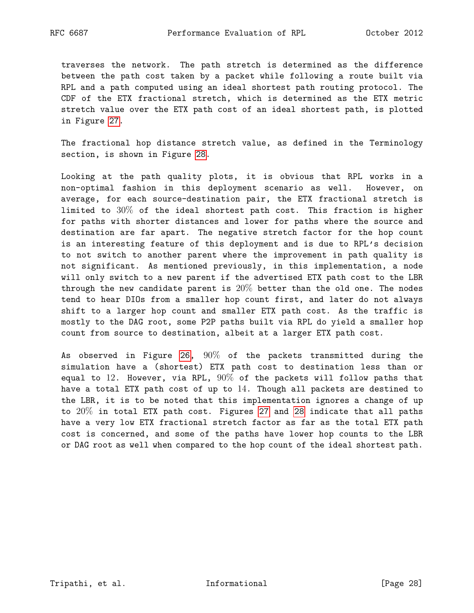traverses the network. The path stretch is determined as the difference between the path cost taken by a packet while following a route built via RPL and a path computed using an ideal shortest path routing protocol. The CDF of the ETX fractional stretch, which is determined as the ETX metric stretch value over the ETX path cost of an ideal shortest path, is plotted in Figure [27.](#page-28-1)

The fractional hop distance stretch value, as defined in the Terminology section, is shown in Figure [28.](#page-29-1)

Looking at the path quality plots, it is obvious that RPL works in a non-optimal fashion in this deployment scenario as well. However, on average, for each source-destination pair, the ETX fractional stretch is limited to  $30\%$  of the ideal shortest path cost. This fraction is higher for paths with shorter distances and lower for paths where the source and destination are far apart. The negative stretch factor for the hop count is an interesting feature of this deployment and is due to RPL's decision to not switch to another parent where the improvement in path quality is not significant. As mentioned previously, in this implementation, a node will only switch to a new parent if the advertised ETX path cost to the LBR through the new candidate parent is  $20\%$  better than the old one. The nodes tend to hear DIOs from a smaller hop count first, and later do not always shift to a larger hop count and smaller ETX path cost. As the traffic is mostly to the DAG root, some P2P paths built via RPL do yield a smaller hop count from source to destination, albeit at a larger ETX path cost.

As observed in Figure [26,](#page-28-0)  $90\%$  of the packets transmitted during the simulation have a (shortest) ETX path cost to destination less than or equal to 12. However, via RPL,  $90\%$  of the packets will follow paths that have a total ETX path cost of up to 14. Though all packets are destined to the LBR, it is to be noted that this implementation ignores a change of up to 20% in total ETX path cost. Figures [27](#page-28-1) and [28](#page-29-1) indicate that all paths have a very low ETX fractional stretch factor as far as the total ETX path cost is concerned, and some of the paths have lower hop counts to the LBR or DAG root as well when compared to the hop count of the ideal shortest path.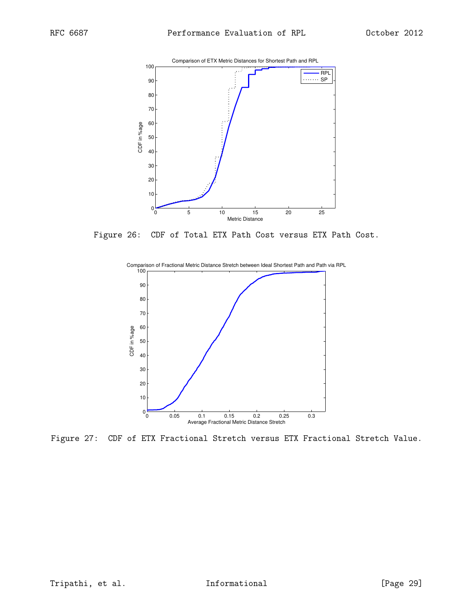<span id="page-28-0"></span>

<span id="page-28-1"></span>Figure 26: CDF of Total ETX Path Cost versus ETX Path Cost.



Figure 27: CDF of ETX Fractional Stretch versus ETX Fractional Stretch Value.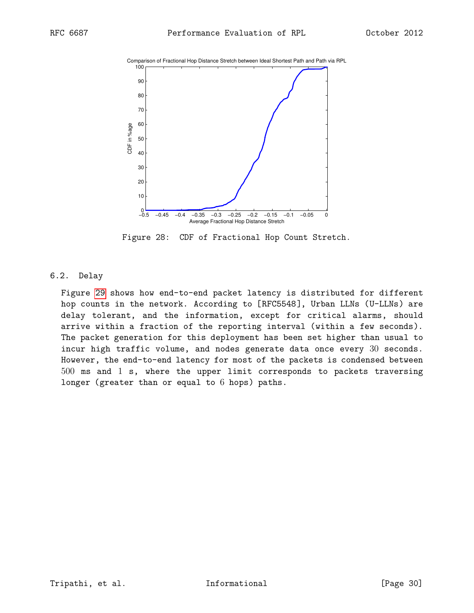<span id="page-29-1"></span>



Figure 28: CDF of Fractional Hop Count Stretch.

# <span id="page-29-0"></span>6.2. Delay

Figure [29](#page-30-1) shows how end-to-end packet latency is distributed for different hop counts in the network. According to [RFC5548], Urban LLNs (U-LLNs) are delay tolerant, and the information, except for critical alarms, should arrive within a fraction of the reporting interval (within a few seconds). The packet generation for this deployment has been set higher than usual to incur high traffic volume, and nodes generate data once every 30 seconds. However, the end-to-end latency for most of the packets is condensed between 500 ms and 1 s, where the upper limit corresponds to packets traversing longer (greater than or equal to 6 hops) paths.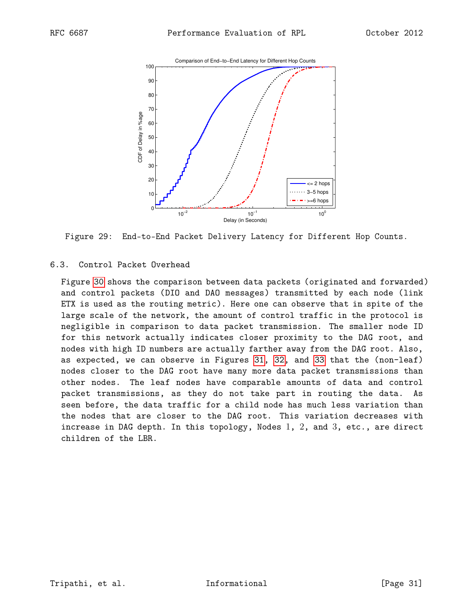<span id="page-30-1"></span>

Figure 29: End-to-End Packet Delivery Latency for Different Hop Counts.

# <span id="page-30-0"></span>6.3. Control Packet Overhead

Figure [30](#page-31-0) shows the comparison between data packets (originated and forwarded) and control packets (DIO and DAO messages) transmitted by each node (link ETX is used as the routing metric). Here one can observe that in spite of the large scale of the network, the amount of control traffic in the protocol is negligible in comparison to data packet transmission. The smaller node ID for this network actually indicates closer proximity to the DAG root, and nodes with high ID numbers are actually farther away from the DAG root. Also, as expected, we can observe in Figures [31,](#page-31-1) [32,](#page-32-0) and [33](#page-32-1) that the (non-leaf) nodes closer to the DAG root have many more data packet transmissions than other nodes. The leaf nodes have comparable amounts of data and control packet transmissions, as they do not take part in routing the data. As seen before, the data traffic for a child node has much less variation than the nodes that are closer to the DAG root. This variation decreases with increase in DAG depth. In this topology, Nodes  $1, 2$ , and  $3$ , etc., are direct children of the LBR.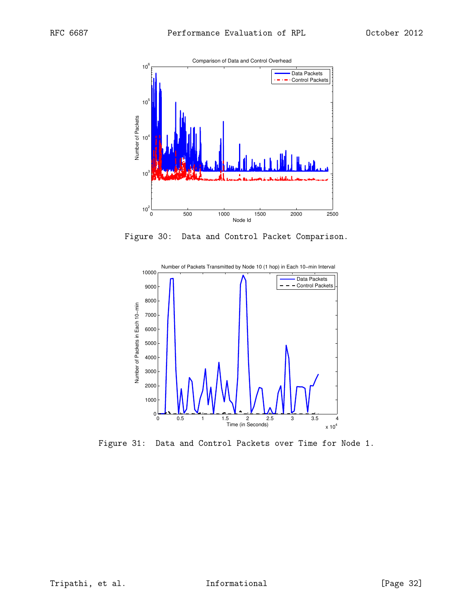<span id="page-31-0"></span>

Figure 30: Data and Control Packet Comparison.

<span id="page-31-1"></span>

Figure 31: Data and Control Packets over Time for Node 1.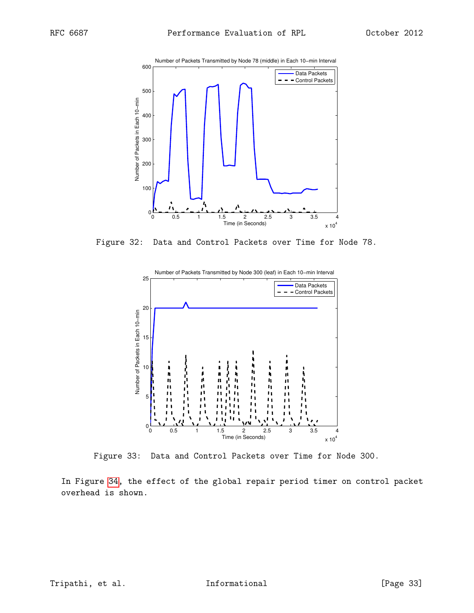<span id="page-32-0"></span>

<span id="page-32-1"></span>Figure 32: Data and Control Packets over Time for Node 78.



Figure 33: Data and Control Packets over Time for Node 300.

In Figure [34,](#page-33-1) the effect of the global repair period timer on control packet overhead is shown.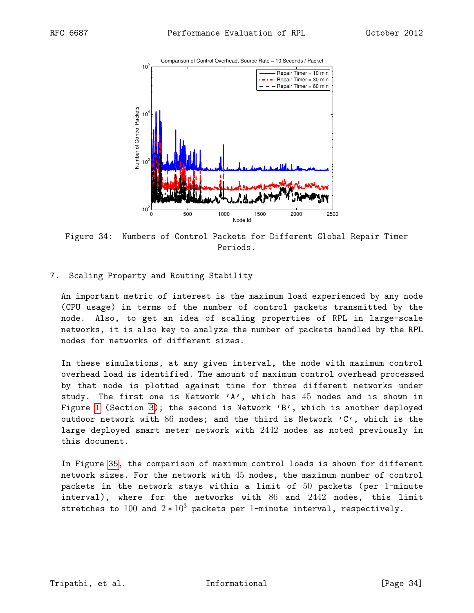<span id="page-33-1"></span>

Figure 34: Numbers of Control Packets for Different Global Repair Timer Periods.

<span id="page-33-0"></span>7. Scaling Property and Routing Stability

An important metric of interest is the maximum load experienced by any node (CPU usage) in terms of the number of control packets transmitted by the node. Also, to get an idea of scaling properties of RPL in large-scale networks, it is also key to analyze the number of packets handled by the RPL nodes for networks of different sizes.

In these simulations, at any given interval, the node with maximum control overhead load is identified. The amount of maximum control overhead processed by that node is plotted against time for three different networks under study. The first one is Network  $'A'$ , which has  $45$  nodes and is shown in Figure [1](#page-5-0) (Section [3\)](#page-3-1); the second is Network 'B', which is another deployed outdoor network with 86 nodes; and the third is Network 'C', which is the large deployed smart meter network with 2442 nodes as noted previously in this document.

In Figure [35,](#page-34-0) the comparison of maximum control loads is shown for different network sizes. For the network with 45 nodes, the maximum number of control packets in the network stays within a limit of 50 packets (per 1-minute interval), where for the networks with 86 and 2442 nodes, this limit stretches to 100 and  $2 * 10^3$  packets per 1-minute interval, respectively.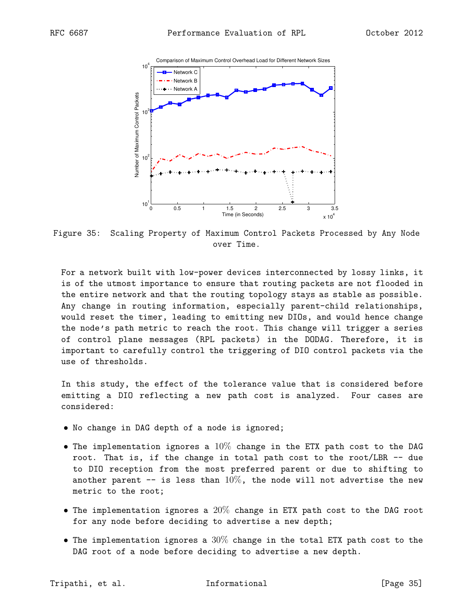<span id="page-34-0"></span>

Figure 35: Scaling Property of Maximum Control Packets Processed by Any Node over Time.

For a network built with low-power devices interconnected by lossy links, it is of the utmost importance to ensure that routing packets are not flooded in the entire network and that the routing topology stays as stable as possible. Any change in routing information, especially parent-child relationships, would reset the timer, leading to emitting new DIOs, and would hence change the node's path metric to reach the root. This change will trigger a series of control plane messages (RPL packets) in the DODAG. Therefore, it is important to carefully control the triggering of DIO control packets via the use of thresholds.

In this study, the effect of the tolerance value that is considered before emitting a DIO reflecting a new path cost is analyzed. Four cases are considered:

- No change in DAG depth of a node is ignored;
- The implementation ignores a  $10\%$  change in the ETX path cost to the DAG root. That is, if the change in total path cost to the root/LBR -- due to DIO reception from the most preferred parent or due to shifting to another parent  $-$  is less than  $10\%$ , the node will not advertise the new metric to the root;
- The implementation ignores a  $20\%$  change in ETX path cost to the DAG root for any node before deciding to advertise a new depth;
- The implementation ignores a  $30\%$  change in the total ETX path cost to the DAG root of a node before deciding to advertise a new depth.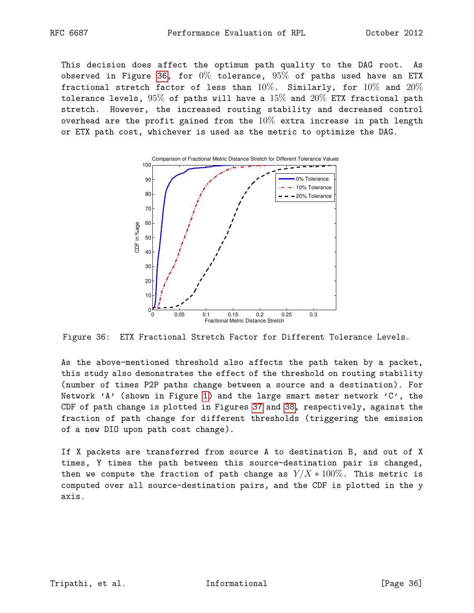This decision does affect the optimum path quality to the DAG root. As observed in Figure [36,](#page-35-0) for  $0\%$  tolerance,  $95\%$  of paths used have an ETX fractional stretch factor of less than  $10\%$ . Similarly, for  $10\%$  and  $20\%$ tolerance levels,  $95\%$  of paths will have a  $15\%$  and  $20\%$  ETX fractional path stretch. However, the increased routing stability and decreased control overhead are the profit gained from the  $10\%$  extra increase in path length or ETX path cost, whichever is used as the metric to optimize the DAG.

<span id="page-35-0"></span>

Figure 36: ETX Fractional Stretch Factor for Different Tolerance Levels.

As the above-mentioned threshold also affects the path taken by a packet, this study also demonstrates the effect of the threshold on routing stability (number of times P2P paths change between a source and a destination). For Network 'A' (shown in Figure [1\)](#page-5-0) and the large smart meter network 'C', the CDF of path change is plotted in Figures [37](#page-36-0) and [38,](#page-36-1) respectively, against the fraction of path change for different thresholds (triggering the emission of a new DIO upon path cost change).

If X packets are transferred from source A to destination B, and out of X times, Y times the path between this source-destination pair is changed, then we compute the fraction of path change as  $Y/X * 100\%$ . This metric is computed over all source-destination pairs, and the CDF is plotted in the y axis.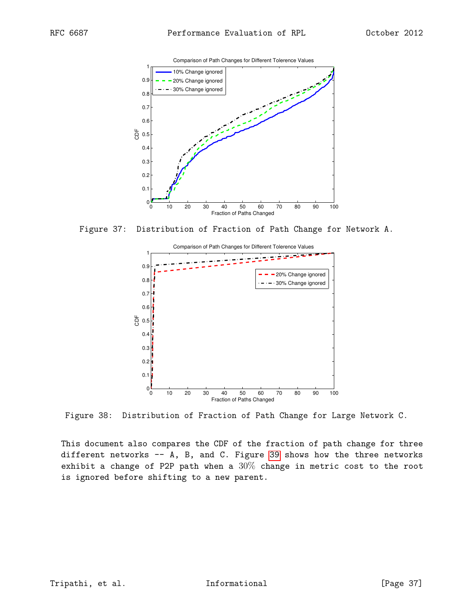<span id="page-36-0"></span>

<span id="page-36-1"></span>Figure 37: Distribution of Fraction of Path Change for Network A.



Figure 38: Distribution of Fraction of Path Change for Large Network C.

This document also compares the CDF of the fraction of path change for three different networks -- A, B, and C. Figure [39](#page-37-3) shows how the three networks exhibit a change of P2P path when a  $30\%$  change in metric cost to the root is ignored before shifting to a new parent.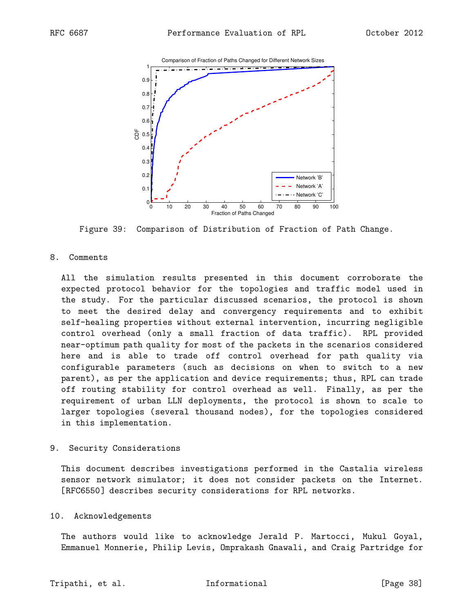<span id="page-37-3"></span>

Figure 39: Comparison of Distribution of Fraction of Path Change.

### <span id="page-37-0"></span>8. Comments

All the simulation results presented in this document corroborate the expected protocol behavior for the topologies and traffic model used in the study. For the particular discussed scenarios, the protocol is shown to meet the desired delay and convergency requirements and to exhibit self-healing properties without external intervention, incurring negligible control overhead (only a small fraction of data traffic). RPL provided near-optimum path quality for most of the packets in the scenarios considered here and is able to trade off control overhead for path quality via configurable parameters (such as decisions on when to switch to a new parent), as per the application and device requirements; thus, RPL can trade off routing stability for control overhead as well. Finally, as per the requirement of urban LLN deployments, the protocol is shown to scale to larger topologies (several thousand nodes), for the topologies considered in this implementation.

### <span id="page-37-1"></span>9. Security Considerations

This document describes investigations performed in the Castalia wireless sensor network simulator; it does not consider packets on the Internet. [RFC6550] describes security considerations for RPL networks.

### <span id="page-37-2"></span>10. Acknowledgements

The authors would like to acknowledge Jerald P. Martocci, Mukul Goyal, Emmanuel Monnerie, Philip Levis, Omprakash Gnawali, and Craig Partridge for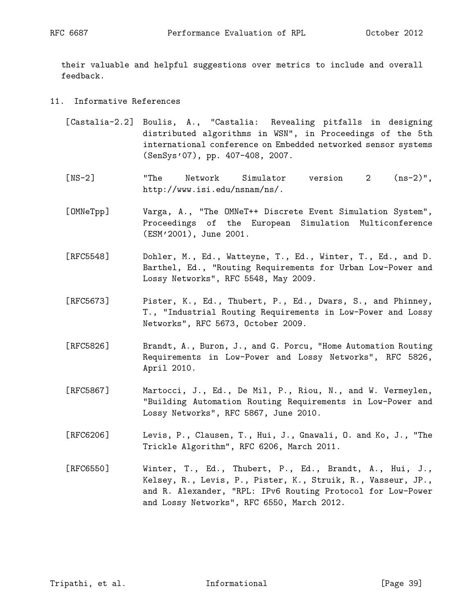their valuable and helpful suggestions over metrics to include and overall feedback.

## <span id="page-38-0"></span>11. Informative References

- [Castalia-2.2] Boulis, A., "Castalia: Revealing pitfalls in designing distributed algorithms in WSN", in Proceedings of the 5th international conference on Embedded networked sensor systems (SenSys'07), pp. 407-408, 2007.
- [NS-2] "The Network Simulator version 2 (ns-2)", http://www.isi.edu/nsnam/ns/.
- [OMNeTpp] Varga, A., "The OMNeT++ Discrete Event Simulation System", Proceedings of the European Simulation Multiconference (ESM'2001), June 2001.
- [RFC5548] Dohler, M., Ed., Watteyne, T., Ed., Winter, T., Ed., and D. Barthel, Ed., "Routing Requirements for Urban Low-Power and Lossy Networks", RFC 5548, May 2009.
- [RFC5673] Pister, K., Ed., Thubert, P., Ed., Dwars, S., and Phinney, T., "Industrial Routing Requirements in Low-Power and Lossy Networks", RFC 5673, October 2009.
- [RFC5826] Brandt, A., Buron, J., and G. Porcu, "Home Automation Routing Requirements in Low-Power and Lossy Networks", RFC 5826, April 2010.
- [RFC5867] Martocci, J., Ed., De Mil, P., Riou, N., and W. Vermeylen, "Building Automation Routing Requirements in Low-Power and Lossy Networks", RFC 5867, June 2010.
- [RFC6206] Levis, P., Clausen, T., Hui, J., Gnawali, O. and Ko, J., "The Trickle Algorithm", RFC 6206, March 2011.
- [RFC6550] Winter, T., Ed., Thubert, P., Ed., Brandt, A., Hui, J., Kelsey, R., Levis, P., Pister, K., Struik, R., Vasseur, JP., and R. Alexander, "RPL: IPv6 Routing Protocol for Low-Power and Lossy Networks", RFC 6550, March 2012.